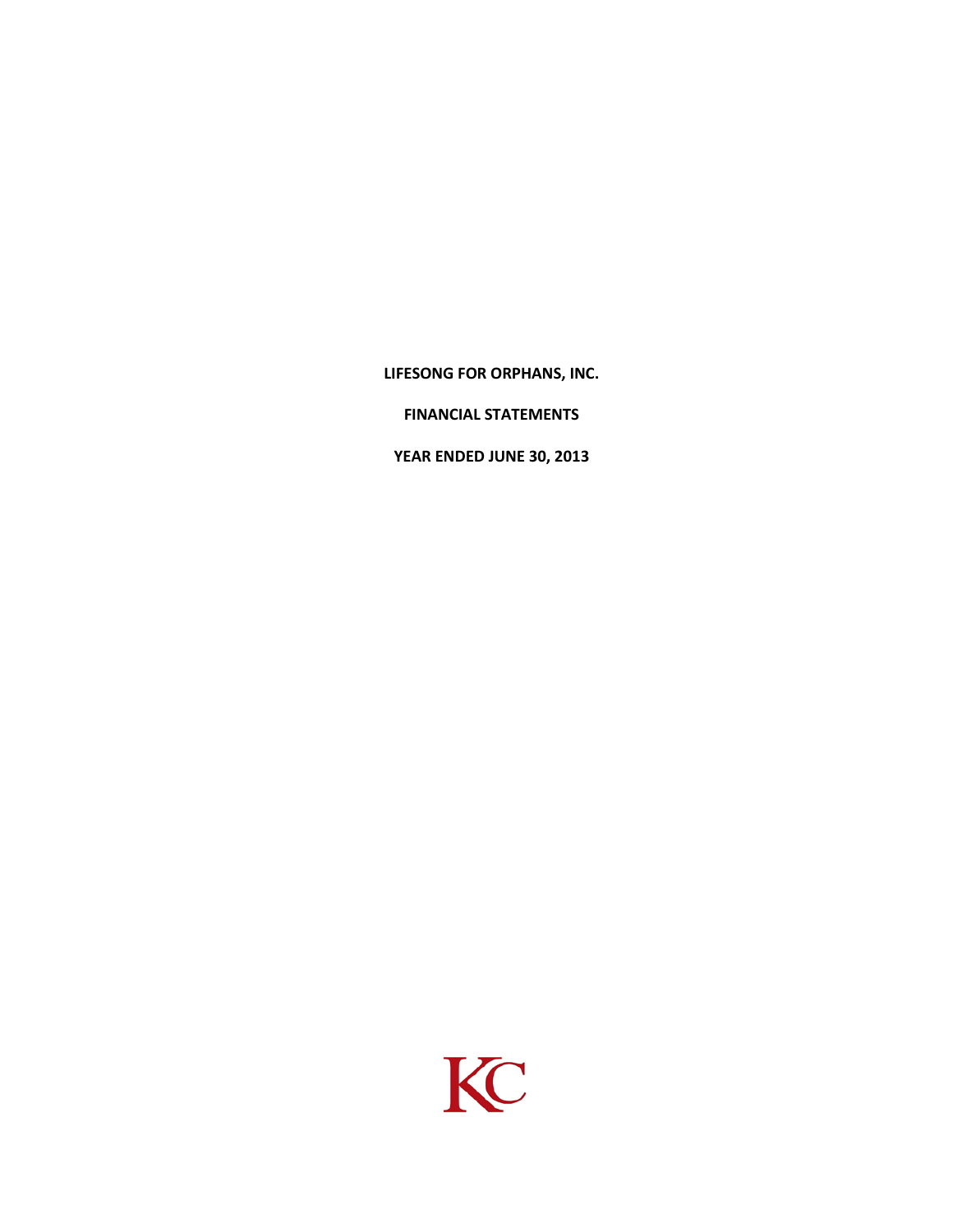**LIFESONG FOR ORPHANS, INC.**

 **FINANCIAL STATEMENTS**

 **YEAR ENDED JUNE 30, 2013**

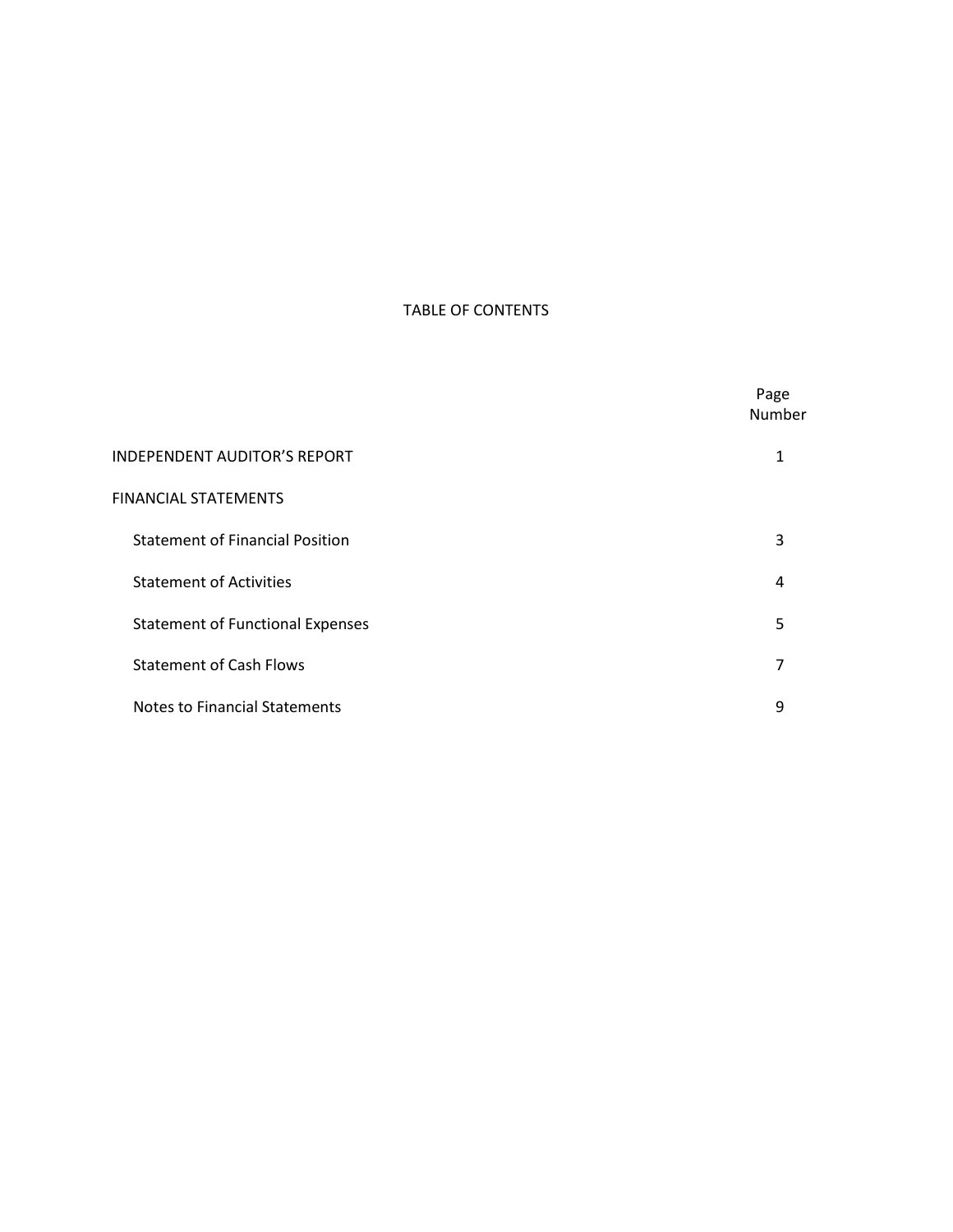# TABLE OF CONTENTS

|                                         | Page<br>Number |
|-----------------------------------------|----------------|
| <b>INDEPENDENT AUDITOR'S REPORT</b>     |                |
| <b>FINANCIAL STATEMENTS</b>             |                |
| <b>Statement of Financial Position</b>  | 3              |
| <b>Statement of Activities</b>          | 4              |
| <b>Statement of Functional Expenses</b> | 5              |
| <b>Statement of Cash Flows</b>          | 7              |
| <b>Notes to Financial Statements</b>    | 9              |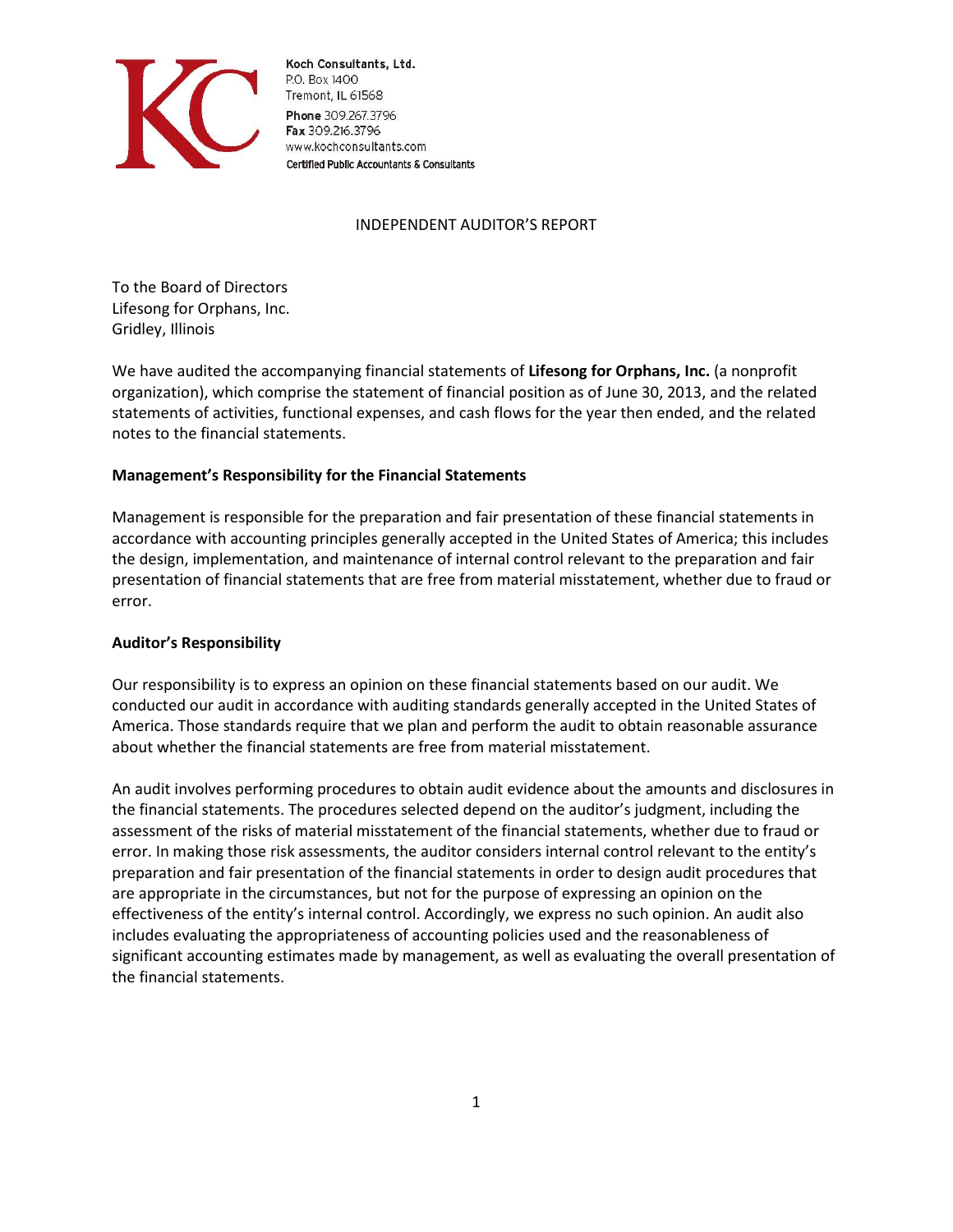

Koch Consultants, Ltd. P.O. Box 1400 Tremont, IL 61568 Phone 309.267.3796 Fax 309.216.3796 www.kochconsultants.com Certified Public Accountants & Consultants

## INDEPENDENT AUDITOR'S REPORT

To the Board of Directors Lifesong for Orphans, Inc. Gridley, Illinois

We have audited the accompanying financial statements of **Lifesong for Orphans, Inc.** (a nonprofit organization), which comprise the statement of financial position as of June 30, 2013, and the related statements of activities, functional expenses, and cash flows for the year then ended, and the related notes to the financial statements.

# **Management's Responsibility for the Financial Statements**

Management is responsible for the preparation and fair presentation of these financial statements in accordance with accounting principles generally accepted in the United States of America; this includes the design, implementation, and maintenance of internal control relevant to the preparation and fair presentation of financial statements that are free from material misstatement, whether due to fraud or error.

## **Auditor's Responsibility**

Our responsibility is to express an opinion on these financial statements based on our audit. We conducted our audit in accordance with auditing standards generally accepted in the United States of America. Those standards require that we plan and perform the audit to obtain reasonable assurance about whether the financial statements are free from material misstatement.

An audit involves performing procedures to obtain audit evidence about the amounts and disclosures in the financial statements. The procedures selected depend on the auditor's judgment, including the assessment of the risks of material misstatement of the financial statements, whether due to fraud or error. In making those risk assessments, the auditor considers internal control relevant to the entity's preparation and fair presentation of the financial statements in order to design audit procedures that are appropriate in the circumstances, but not for the purpose of expressing an opinion on the effectiveness of the entity's internal control. Accordingly, we express no such opinion. An audit also includes evaluating the appropriateness of accounting policies used and the reasonableness of significant accounting estimates made by management, as well as evaluating the overall presentation of the financial statements.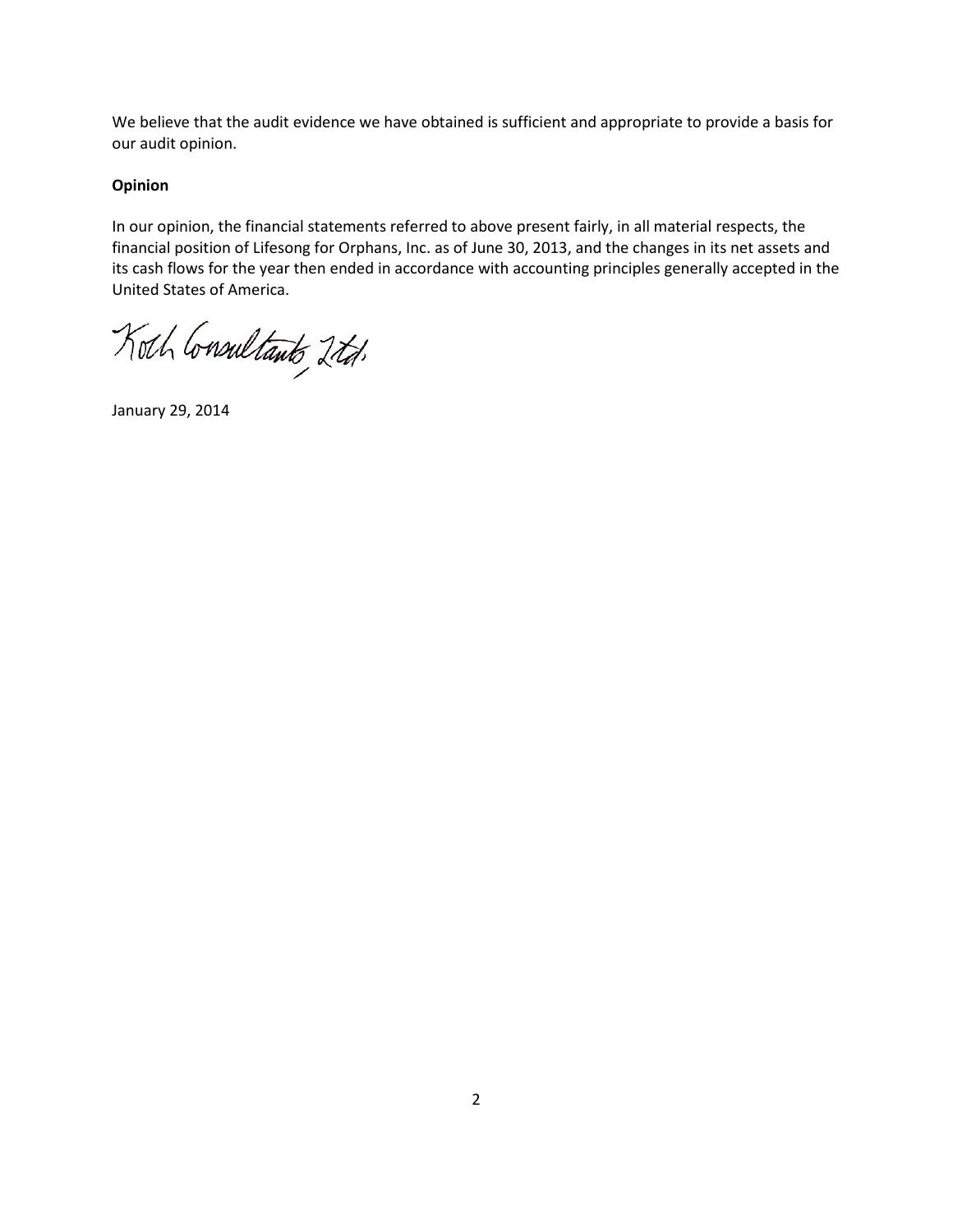We believe that the audit evidence we have obtained is sufficient and appropriate to provide a basis for our audit opinion.

### **Opinion**

In our opinion, the financial statements referred to above present fairly, in all material respects, the financial position of Lifesong for Orphans, Inc. as of June 30, 2013, and the changes in its net assets and its cash flows for the year then ended in accordance with accounting principles generally accepted in the United States of America.

Koth Consultants 2td.

January 29, 2014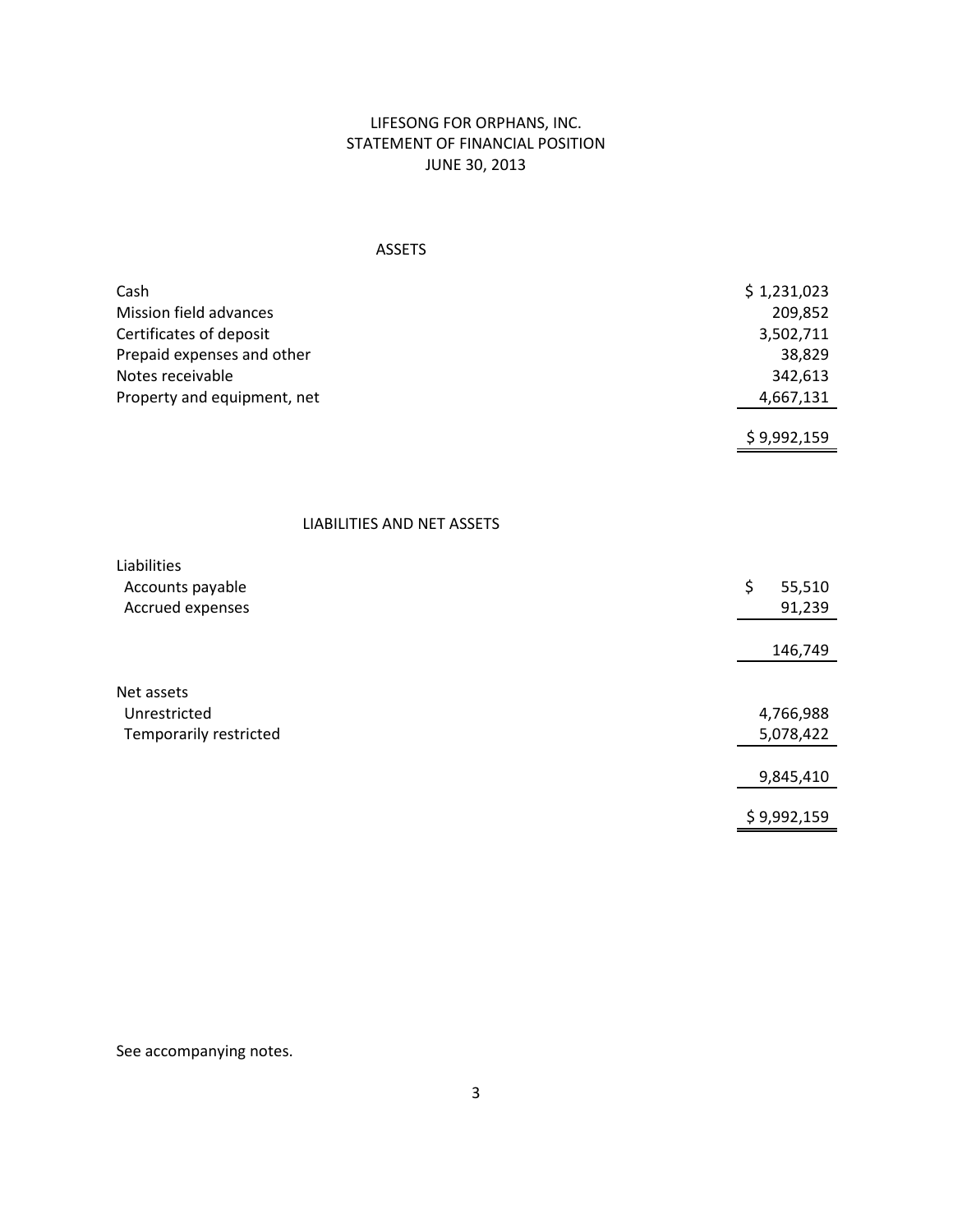# LIFESONG FOR ORPHANS, INC. STATEMENT OF FINANCIAL POSITION JUNE 30, 2013

### ASSETS

| Cash                              | \$1,231,023  |
|-----------------------------------|--------------|
| <b>Mission field advances</b>     | 209,852      |
| Certificates of deposit           | 3,502,711    |
| Prepaid expenses and other        | 38,829       |
| Notes receivable                  | 342,613      |
| Property and equipment, net       | 4,667,131    |
|                                   |              |
|                                   | \$9,992,159  |
|                                   |              |
| <b>LIABILITIES AND NET ASSETS</b> |              |
| Liabilities                       |              |
| Accounts payable                  | \$<br>55,510 |
| Accrued expenses                  | 91,239       |
|                                   |              |
|                                   | 146,749      |
|                                   |              |
| Net assets                        |              |
| Unrestricted                      | 4,766,988    |
| Temporarily restricted            | 5,078,422    |
|                                   |              |
|                                   | 9,845,410    |

\$ 9,992,159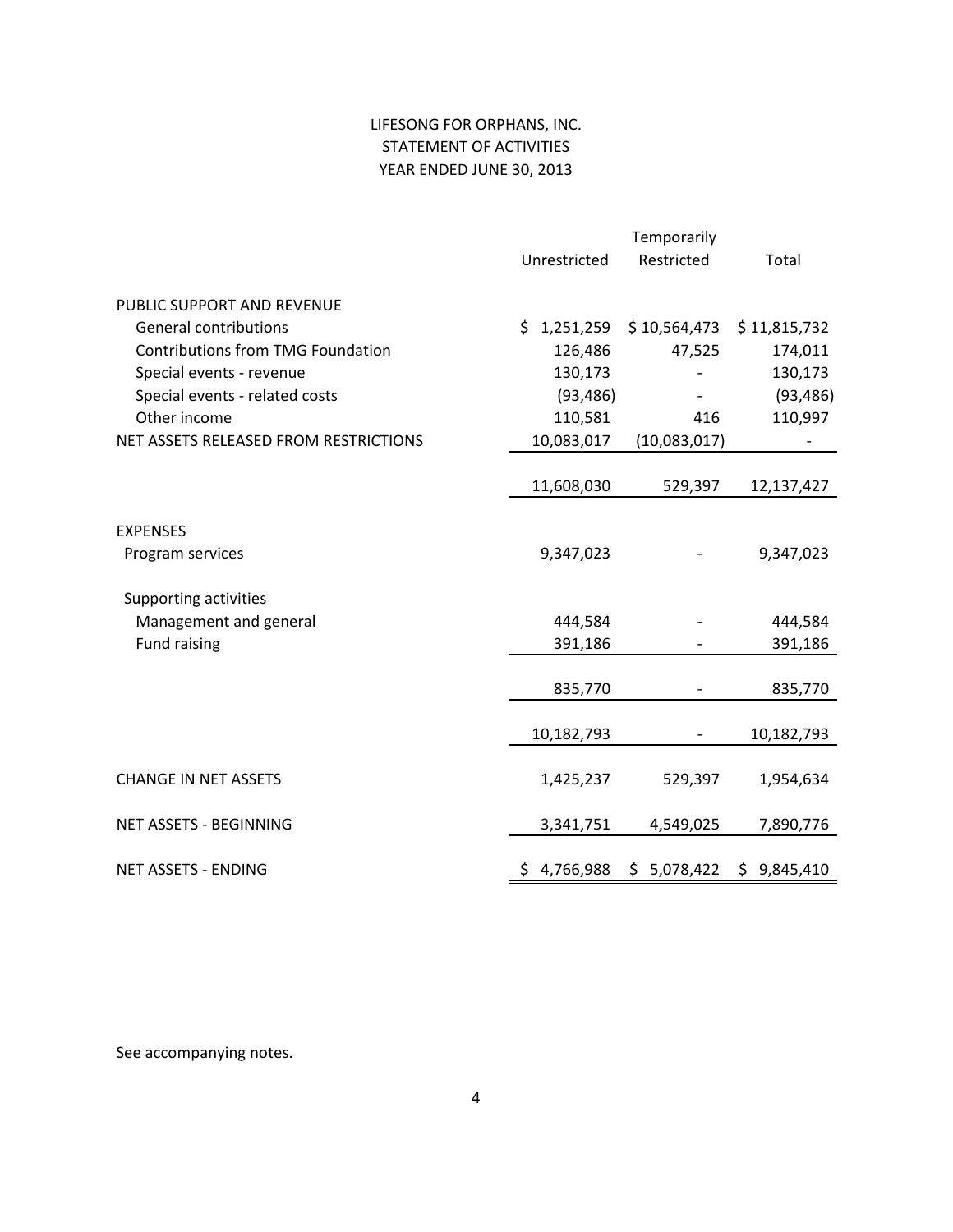# LIFESONG FOR ORPHANS, INC. STATEMENT OF ACTIVITIES YEAR ENDED JUNE 30, 2013

|                                          |                 | Temporarily  |              |
|------------------------------------------|-----------------|--------------|--------------|
|                                          | Unrestricted    | Restricted   | Total        |
| PUBLIC SUPPORT AND REVENUE               |                 |              |              |
| <b>General contributions</b>             | \$<br>1,251,259 | \$10,564,473 | \$11,815,732 |
| <b>Contributions from TMG Foundation</b> | 126,486         | 47,525       | 174,011      |
| Special events - revenue                 | 130,173         |              | 130,173      |
| Special events - related costs           | (93, 486)       |              | (93, 486)    |
| Other income                             | 110,581         | 416          | 110,997      |
| NET ASSETS RELEASED FROM RESTRICTIONS    | 10,083,017      | (10,083,017) |              |
|                                          |                 |              |              |
|                                          | 11,608,030      | 529,397      | 12,137,427   |
| <b>EXPENSES</b><br>Program services      | 9,347,023       |              | 9,347,023    |
|                                          |                 |              |              |
| Supporting activities                    |                 |              |              |
| Management and general                   | 444,584         |              | 444,584      |
| <b>Fund raising</b>                      | 391,186         |              | 391,186      |
|                                          |                 |              |              |
|                                          | 835,770         |              | 835,770      |
|                                          |                 |              |              |
|                                          | 10,182,793      |              | 10,182,793   |
| <b>CHANGE IN NET ASSETS</b>              | 1,425,237       | 529,397      | 1,954,634    |
| NET ASSETS - BEGINNING                   | 3,341,751       | 4,549,025    | 7,890,776    |
| <b>NET ASSETS - ENDING</b>               | 4,766,988<br>\$ | \$5,078,422  | \$9,845,410  |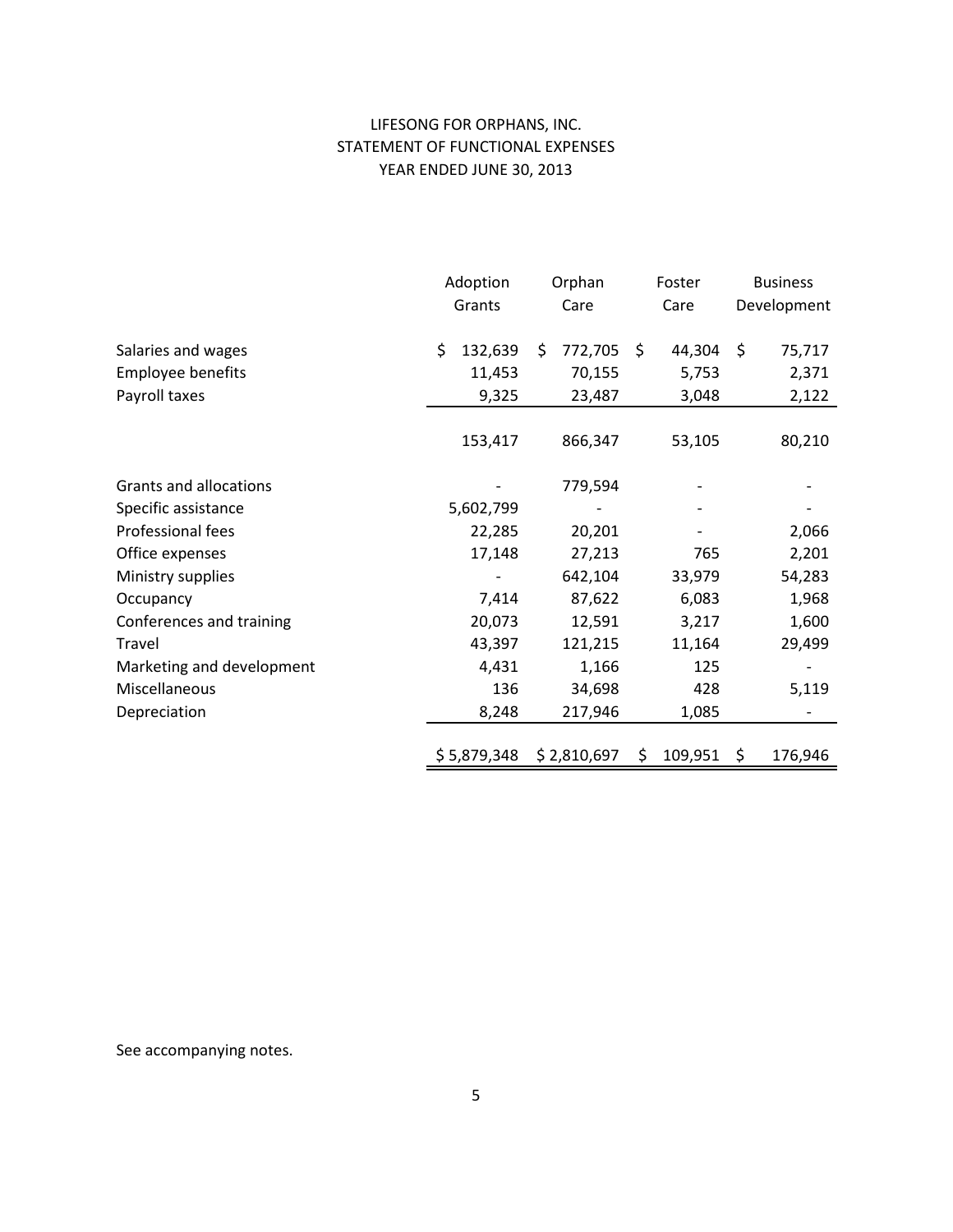# LIFESONG FOR ORPHANS, INC. STATEMENT OF FUNCTIONAL EXPENSES YEAR ENDED JUNE 30, 2013

|                               | Adoption      | Orphan        | Foster        | <b>Business</b> |
|-------------------------------|---------------|---------------|---------------|-----------------|
|                               | Grants        | Care          | Care          | Development     |
| Salaries and wages            | \$<br>132,639 | \$<br>772,705 | \$<br>44,304  | \$<br>75,717    |
| Employee benefits             | 11,453        | 70,155        | 5,753         | 2,371           |
| Payroll taxes                 | 9,325         | 23,487        | 3,048         | 2,122           |
|                               |               |               |               |                 |
|                               | 153,417       | 866,347       | 53,105        | 80,210          |
| <b>Grants and allocations</b> |               | 779,594       |               |                 |
| Specific assistance           | 5,602,799     |               |               |                 |
| Professional fees             | 22,285        | 20,201        |               | 2,066           |
| Office expenses               | 17,148        | 27,213        | 765           | 2,201           |
| Ministry supplies             |               | 642,104       | 33,979        | 54,283          |
| Occupancy                     | 7,414         | 87,622        | 6,083         | 1,968           |
| Conferences and training      | 20,073        | 12,591        | 3,217         | 1,600           |
| Travel                        | 43,397        | 121,215       | 11,164        | 29,499          |
| Marketing and development     | 4,431         | 1,166         | 125           |                 |
| Miscellaneous                 | 136           | 34,698        | 428           | 5,119           |
| Depreciation                  | 8,248         | 217,946       | 1,085         |                 |
|                               |               |               |               |                 |
|                               | \$5,879,348   | \$2,810,697   | \$<br>109,951 | \$<br>176,946   |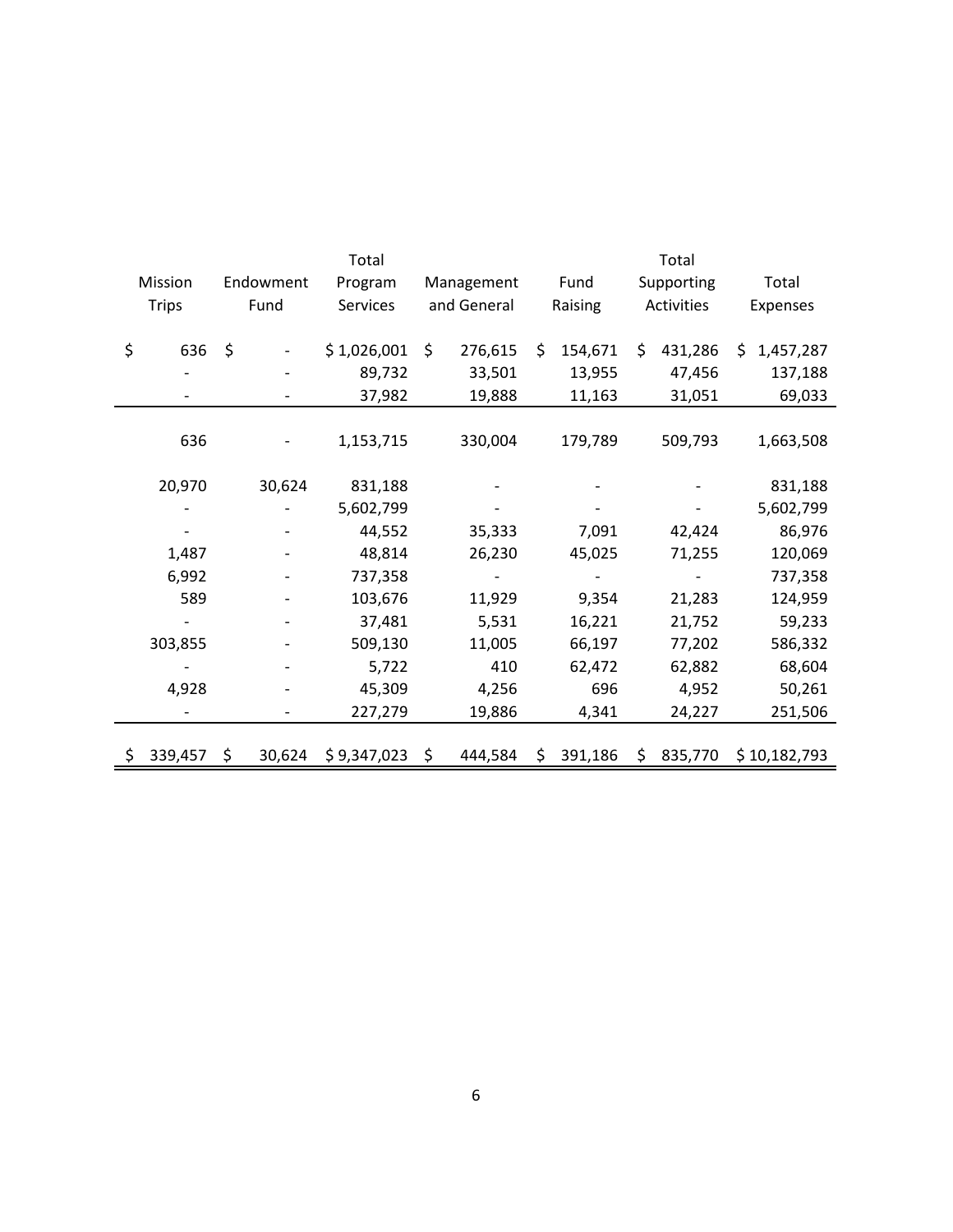|               |                          | Total       |               |    |         | Total         |                  |
|---------------|--------------------------|-------------|---------------|----|---------|---------------|------------------|
| Mission       | Endowment                | Program     | Management    |    | Fund    | Supporting    | Total            |
| <b>Trips</b>  | Fund                     | Services    | and General   |    | Raising | Activities    | Expenses         |
|               |                          |             |               |    |         |               |                  |
| \$<br>636     | \$                       | \$1,026,001 | \$<br>276,615 | \$ | 154,671 | \$<br>431,286 | \$.<br>1,457,287 |
|               |                          | 89,732      | 33,501        |    | 13,955  | 47,456        | 137,188          |
|               |                          | 37,982      | 19,888        |    | 11,163  | 31,051        | 69,033           |
|               |                          |             |               |    |         |               |                  |
| 636           |                          | 1,153,715   | 330,004       |    | 179,789 | 509,793       | 1,663,508        |
|               |                          |             |               |    |         |               |                  |
| 20,970        | 30,624                   | 831,188     |               |    |         |               | 831,188          |
|               |                          | 5,602,799   |               |    |         |               | 5,602,799        |
|               |                          | 44,552      | 35,333        |    | 7,091   | 42,424        | 86,976           |
| 1,487         |                          | 48,814      | 26,230        |    | 45,025  | 71,255        | 120,069          |
| 6,992         |                          | 737,358     |               |    |         |               | 737,358          |
| 589           | $\overline{\phantom{a}}$ | 103,676     | 11,929        |    | 9,354   | 21,283        | 124,959          |
|               |                          | 37,481      | 5,531         |    | 16,221  | 21,752        | 59,233           |
| 303,855       |                          | 509,130     | 11,005        |    | 66,197  | 77,202        | 586,332          |
|               |                          | 5,722       | 410           |    | 62,472  | 62,882        | 68,604           |
| 4,928         |                          | 45,309      | 4,256         |    | 696     | 4,952         | 50,261           |
|               |                          | 227,279     | 19,886        |    | 4,341   | 24,227        | 251,506          |
|               |                          |             |               |    |         |               |                  |
| \$<br>339,457 | \$<br>30,624             | \$9,347,023 | \$<br>444,584 | \$ | 391,186 | \$<br>835,770 | \$10,182,793     |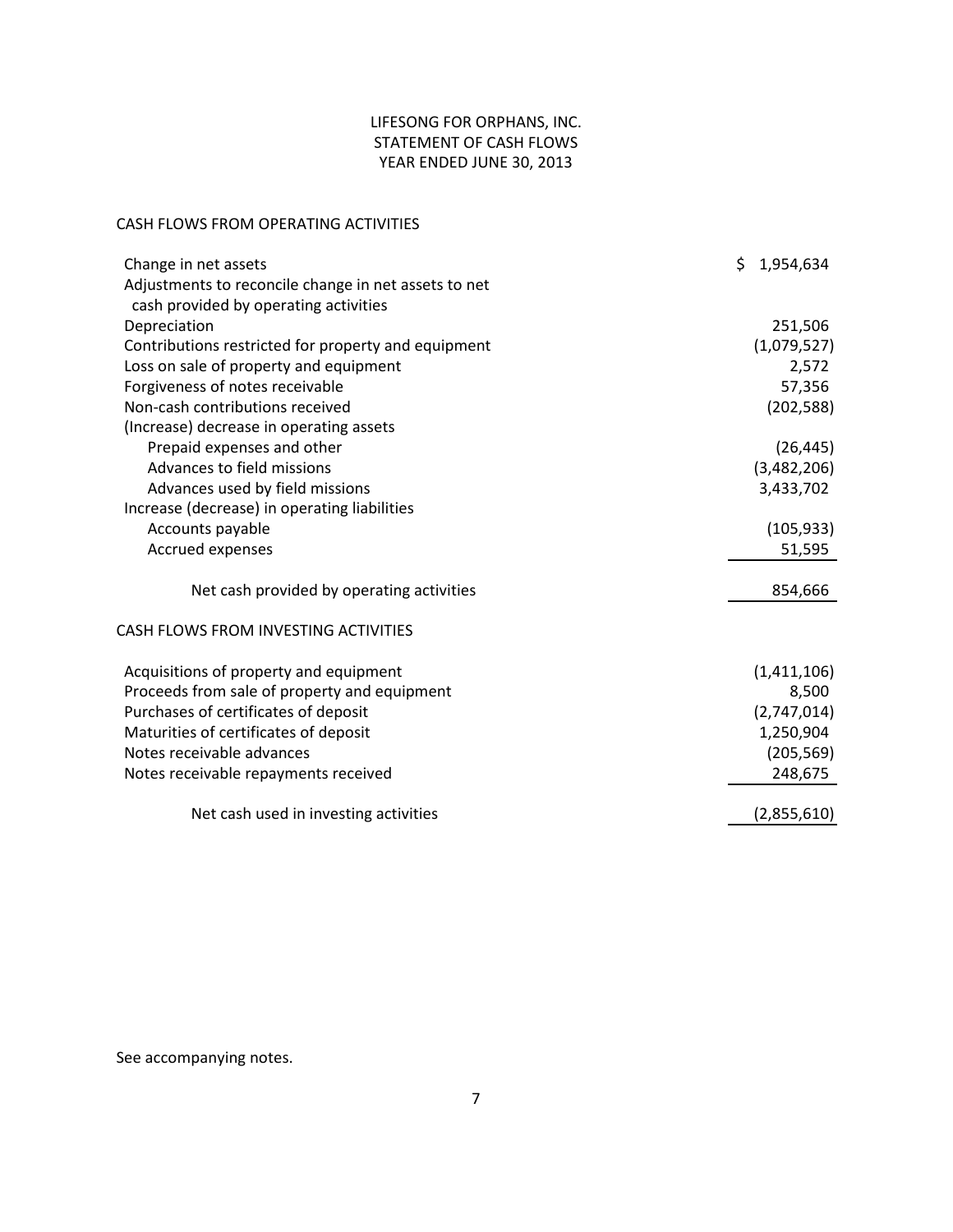# LIFESONG FOR ORPHANS, INC. STATEMENT OF CASH FLOWS YEAR ENDED JUNE 30, 2013

# CASH FLOWS FROM OPERATING ACTIVITIES

| Change in net assets                                 | Ś.<br>1,954,634 |
|------------------------------------------------------|-----------------|
| Adjustments to reconcile change in net assets to net |                 |
| cash provided by operating activities                |                 |
| Depreciation                                         | 251,506         |
| Contributions restricted for property and equipment  | (1,079,527)     |
| Loss on sale of property and equipment               | 2,572           |
| Forgiveness of notes receivable                      | 57,356          |
| Non-cash contributions received                      | (202, 588)      |
| (Increase) decrease in operating assets              |                 |
| Prepaid expenses and other                           | (26, 445)       |
| Advances to field missions                           | (3,482,206)     |
| Advances used by field missions                      | 3,433,702       |
| Increase (decrease) in operating liabilities         |                 |
| Accounts payable                                     | (105, 933)      |
| Accrued expenses                                     | 51,595          |
| Net cash provided by operating activities            | 854,666         |
| CASH FLOWS FROM INVESTING ACTIVITIES                 |                 |
| Acquisitions of property and equipment               | (1,411,106)     |
| Proceeds from sale of property and equipment         | 8,500           |
| Purchases of certificates of deposit                 | (2,747,014)     |
| Maturities of certificates of deposit                | 1,250,904       |
| Notes receivable advances                            | (205, 569)      |
| Notes receivable repayments received                 | 248,675         |
| Net cash used in investing activities                | (2,855,610)     |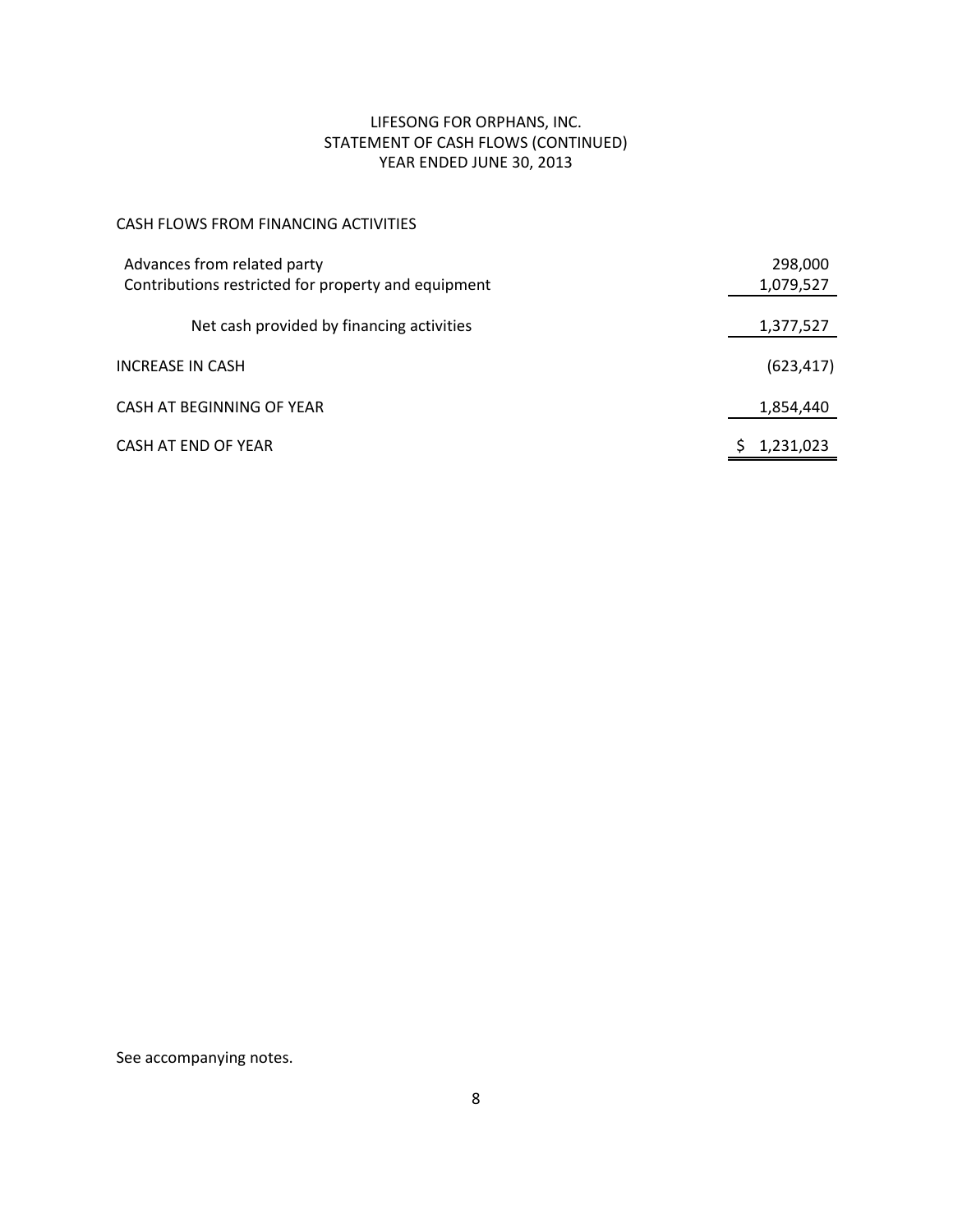# LIFESONG FOR ORPHANS, INC. STATEMENT OF CASH FLOWS (CONTINUED) YEAR ENDED JUNE 30, 2013

# CASH FLOWS FROM FINANCING ACTIVITIES

| Advances from related party<br>Contributions restricted for property and equipment | 298,000<br>1,079,527 |
|------------------------------------------------------------------------------------|----------------------|
| Net cash provided by financing activities                                          | 1,377,527            |
| <b>INCREASE IN CASH</b>                                                            | (623, 417)           |
| CASH AT BEGINNING OF YEAR                                                          | 1,854,440            |
| CASH AT END OF YEAR                                                                | 1,231,023            |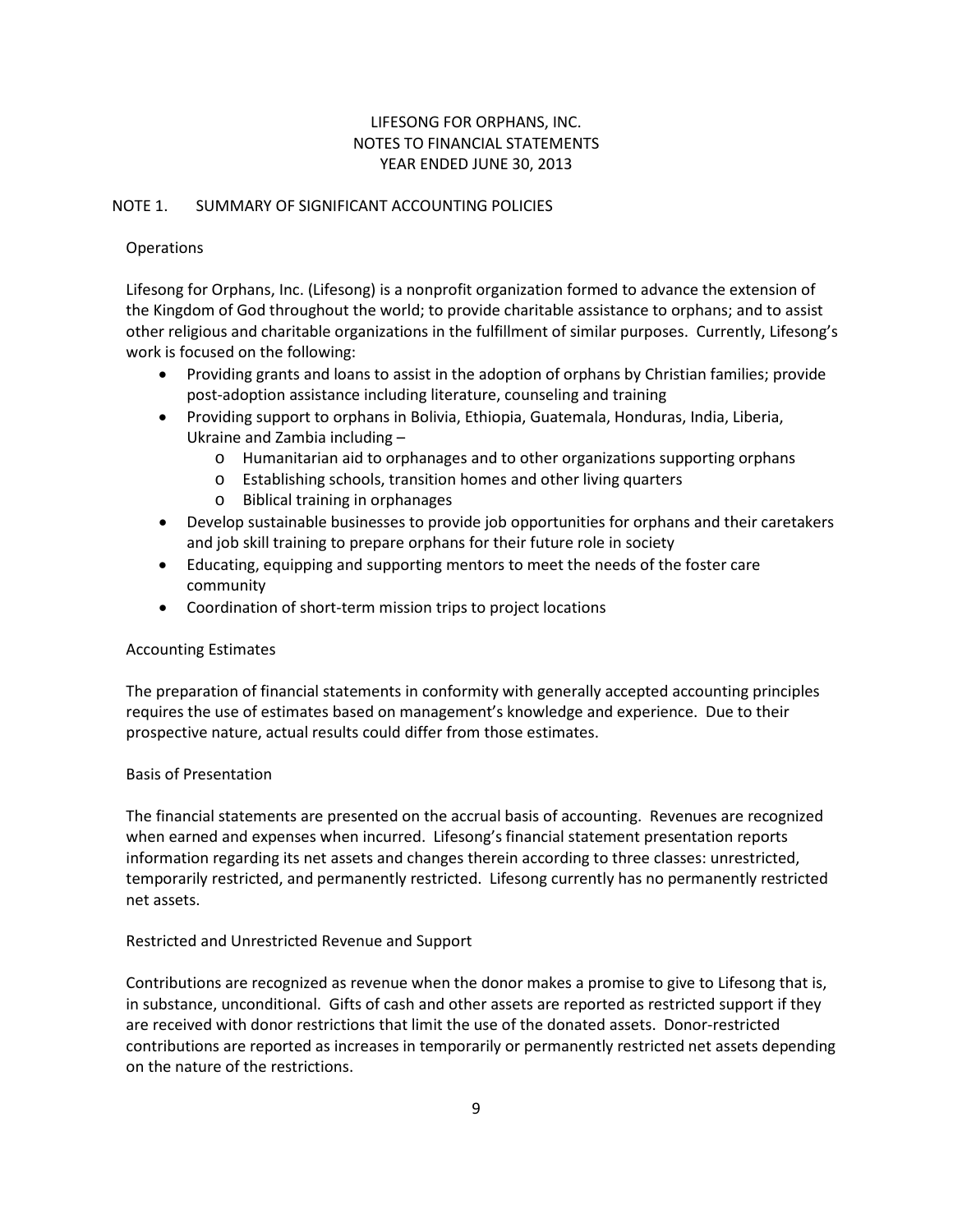# LIFESONG FOR ORPHANS, INC. NOTES TO FINANCIAL STATEMENTS YEAR ENDED JUNE 30, 2013

### NOTE 1. SUMMARY OF SIGNIFICANT ACCOUNTING POLICIES

### **Operations**

Lifesong for Orphans, Inc. (Lifesong) is a nonprofit organization formed to advance the extension of the Kingdom of God throughout the world; to provide charitable assistance to orphans; and to assist other religious and charitable organizations in the fulfillment of similar purposes. Currently, Lifesong's work is focused on the following:

- Providing grants and loans to assist in the adoption of orphans by Christian families; provide post-adoption assistance including literature, counseling and training
- Providing support to orphans in Bolivia, Ethiopia, Guatemala, Honduras, India, Liberia, Ukraine and Zambia including –
	- o Humanitarian aid to orphanages and to other organizations supporting orphans
	- o Establishing schools, transition homes and other living quarters
	- o Biblical training in orphanages
- Develop sustainable businesses to provide job opportunities for orphans and their caretakers and job skill training to prepare orphans for their future role in society
- Educating, equipping and supporting mentors to meet the needs of the foster care community
- Coordination of short-term mission trips to project locations

## Accounting Estimates

The preparation of financial statements in conformity with generally accepted accounting principles requires the use of estimates based on management's knowledge and experience. Due to their prospective nature, actual results could differ from those estimates.

### Basis of Presentation

The financial statements are presented on the accrual basis of accounting. Revenues are recognized when earned and expenses when incurred. Lifesong's financial statement presentation reports information regarding its net assets and changes therein according to three classes: unrestricted, temporarily restricted, and permanently restricted. Lifesong currently has no permanently restricted net assets.

## Restricted and Unrestricted Revenue and Support

Contributions are recognized as revenue when the donor makes a promise to give to Lifesong that is, in substance, unconditional. Gifts of cash and other assets are reported as restricted support if they are received with donor restrictions that limit the use of the donated assets. Donor-restricted contributions are reported as increases in temporarily or permanently restricted net assets depending on the nature of the restrictions.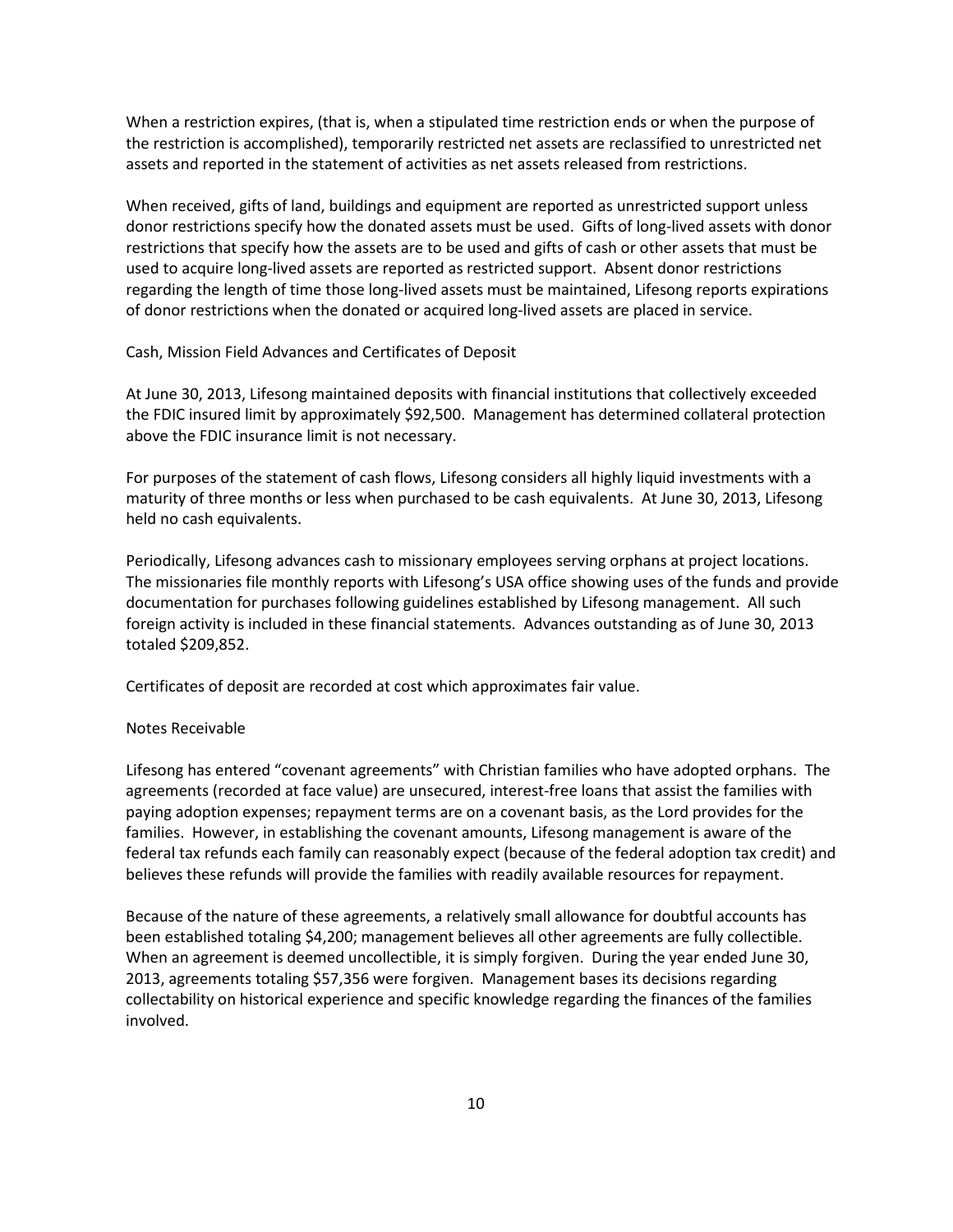When a restriction expires, (that is, when a stipulated time restriction ends or when the purpose of the restriction is accomplished), temporarily restricted net assets are reclassified to unrestricted net assets and reported in the statement of activities as net assets released from restrictions.

When received, gifts of land, buildings and equipment are reported as unrestricted support unless donor restrictions specify how the donated assets must be used. Gifts of long-lived assets with donor restrictions that specify how the assets are to be used and gifts of cash or other assets that must be used to acquire long-lived assets are reported as restricted support. Absent donor restrictions regarding the length of time those long-lived assets must be maintained, Lifesong reports expirations of donor restrictions when the donated or acquired long-lived assets are placed in service.

#### Cash, Mission Field Advances and Certificates of Deposit

At June 30, 2013, Lifesong maintained deposits with financial institutions that collectively exceeded the FDIC insured limit by approximately \$92,500. Management has determined collateral protection above the FDIC insurance limit is not necessary.

For purposes of the statement of cash flows, Lifesong considers all highly liquid investments with a maturity of three months or less when purchased to be cash equivalents. At June 30, 2013, Lifesong held no cash equivalents.

Periodically, Lifesong advances cash to missionary employees serving orphans at project locations. The missionaries file monthly reports with Lifesong's USA office showing uses of the funds and provide documentation for purchases following guidelines established by Lifesong management. All such foreign activity is included in these financial statements. Advances outstanding as of June 30, 2013 totaled \$209,852.

Certificates of deposit are recorded at cost which approximates fair value.

#### Notes Receivable

Lifesong has entered "covenant agreements" with Christian families who have adopted orphans. The agreements (recorded at face value) are unsecured, interest-free loans that assist the families with paying adoption expenses; repayment terms are on a covenant basis, as the Lord provides for the families. However, in establishing the covenant amounts, Lifesong management is aware of the federal tax refunds each family can reasonably expect (because of the federal adoption tax credit) and believes these refunds will provide the families with readily available resources for repayment.

Because of the nature of these agreements, a relatively small allowance for doubtful accounts has been established totaling \$4,200; management believes all other agreements are fully collectible. When an agreement is deemed uncollectible, it is simply forgiven. During the year ended June 30, 2013, agreements totaling \$57,356 were forgiven. Management bases its decisions regarding collectability on historical experience and specific knowledge regarding the finances of the families involved.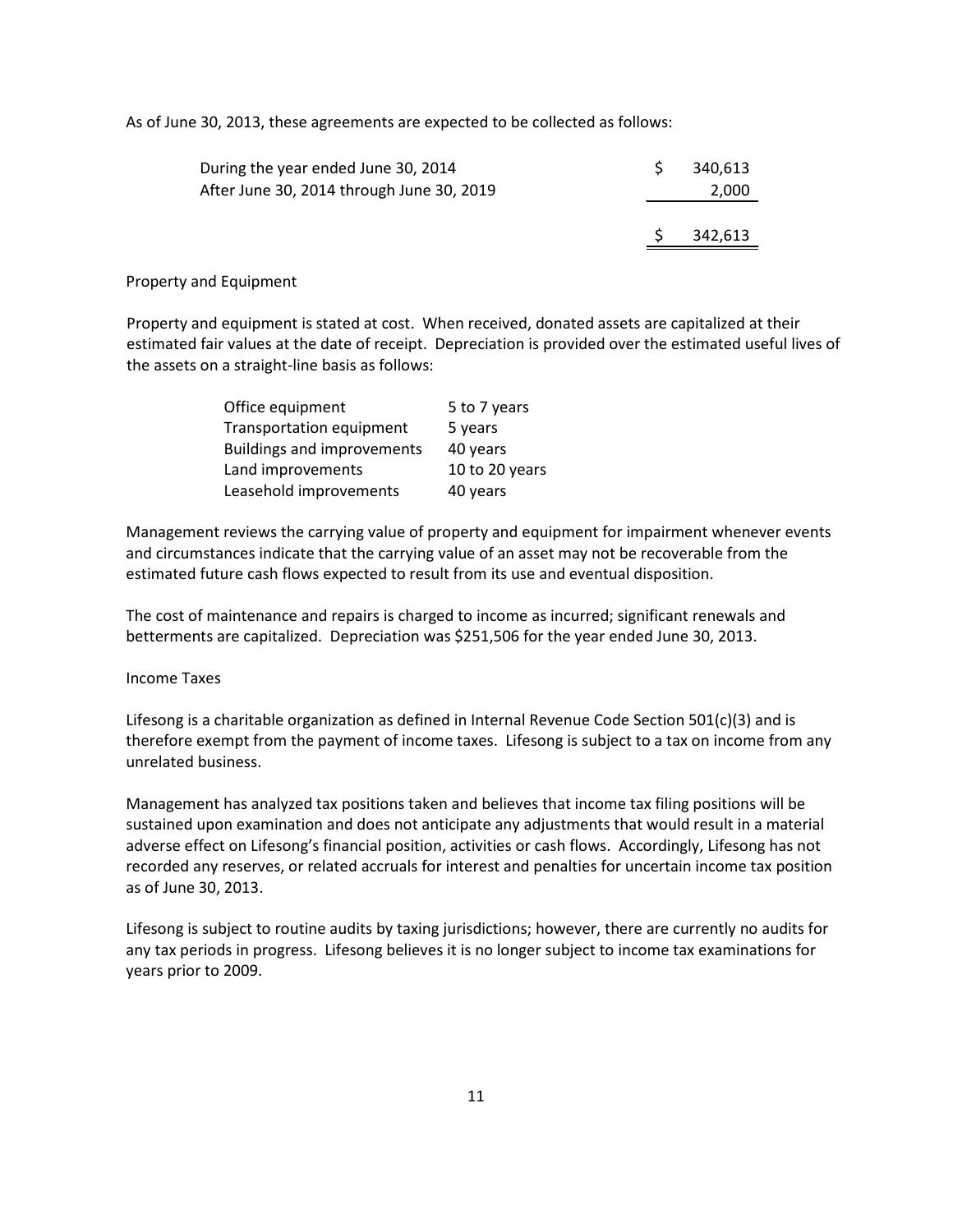As of June 30, 2013, these agreements are expected to be collected as follows:

| During the year ended June 30, 2014       | 340.613 |
|-------------------------------------------|---------|
| After June 30, 2014 through June 30, 2019 | 2,000   |
|                                           |         |
|                                           | 342,613 |
|                                           |         |

#### Property and Equipment

Property and equipment is stated at cost. When received, donated assets are capitalized at their estimated fair values at the date of receipt. Depreciation is provided over the estimated useful lives of the assets on a straight-line basis as follows:

| Office equipment                  | 5 to 7 years   |
|-----------------------------------|----------------|
| Transportation equipment          | 5 years        |
| <b>Buildings and improvements</b> | 40 years       |
| Land improvements                 | 10 to 20 years |
| Leasehold improvements            | 40 years       |

Management reviews the carrying value of property and equipment for impairment whenever events and circumstances indicate that the carrying value of an asset may not be recoverable from the estimated future cash flows expected to result from its use and eventual disposition.

The cost of maintenance and repairs is charged to income as incurred; significant renewals and betterments are capitalized. Depreciation was \$251,506 for the year ended June 30, 2013.

#### Income Taxes

Lifesong is a charitable organization as defined in Internal Revenue Code Section 501(c)(3) and is therefore exempt from the payment of income taxes. Lifesong is subject to a tax on income from any unrelated business.

Management has analyzed tax positions taken and believes that income tax filing positions will be sustained upon examination and does not anticipate any adjustments that would result in a material adverse effect on Lifesong's financial position, activities or cash flows. Accordingly, Lifesong has not recorded any reserves, or related accruals for interest and penalties for uncertain income tax position as of June 30, 2013.

Lifesong is subject to routine audits by taxing jurisdictions; however, there are currently no audits for any tax periods in progress. Lifesong believes it is no longer subject to income tax examinations for years prior to 2009.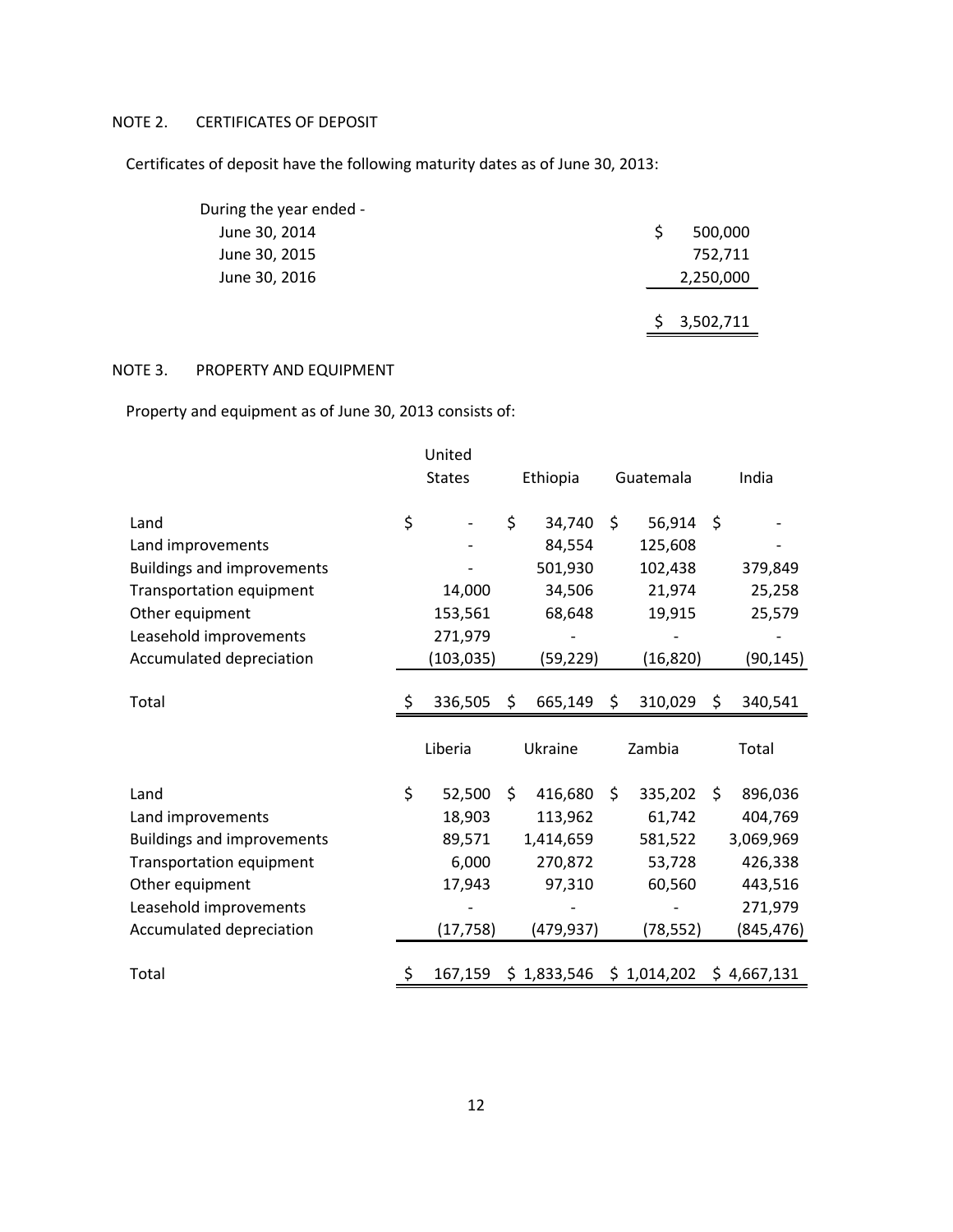# NOTE 2. CERTIFICATES OF DEPOSIT

Certificates of deposit have the following maturity dates as of June 30, 2013:

| During the year ended - |           |
|-------------------------|-----------|
| June 30, 2014           | 500,000   |
| June 30, 2015           | 752,711   |
| June 30, 2016           | 2,250,000 |
|                         |           |
|                         | 3,502,711 |
|                         |           |

# NOTE 3. PROPERTY AND EQUIPMENT

Property and equipment as of June 30, 2013 consists of:

|                                   | United        |               |               |               |
|-----------------------------------|---------------|---------------|---------------|---------------|
|                                   | <b>States</b> | Ethiopia      | Guatemala     | India         |
| Land                              | \$            | \$<br>34,740  | \$<br>56,914  | \$            |
| Land improvements                 |               | 84,554        | 125,608       |               |
| <b>Buildings and improvements</b> |               | 501,930       | 102,438       | 379,849       |
| Transportation equipment          | 14,000        | 34,506        | 21,974        | 25,258        |
| Other equipment                   | 153,561       | 68,648        | 19,915        | 25,579        |
| Leasehold improvements            | 271,979       |               |               |               |
| Accumulated depreciation          | (103, 035)    | (59, 229)     | (16, 820)     | (90, 145)     |
|                                   |               |               |               |               |
| Total                             | \$<br>336,505 | \$<br>665,149 | \$<br>310,029 | \$<br>340,541 |
|                                   |               |               |               |               |
|                                   | Liberia       | Ukraine       | Zambia        | Total         |
| Land                              | \$<br>52,500  | \$<br>416,680 | \$<br>335,202 | \$<br>896,036 |
| Land improvements                 | 18,903        | 113,962       | 61,742        | 404,769       |
| <b>Buildings and improvements</b> | 89,571        | 1,414,659     | 581,522       | 3,069,969     |
| Transportation equipment          | 6,000         | 270,872       | 53,728        | 426,338       |
| Other equipment                   | 17,943        | 97,310        | 60,560        | 443,516       |
| Leasehold improvements            |               |               |               | 271,979       |
| Accumulated depreciation          |               |               |               | (845, 476)    |
|                                   | (17, 758)     | (479,937)     | (78, 552)     |               |
|                                   | \$<br>167,159 |               | \$1,014,202   |               |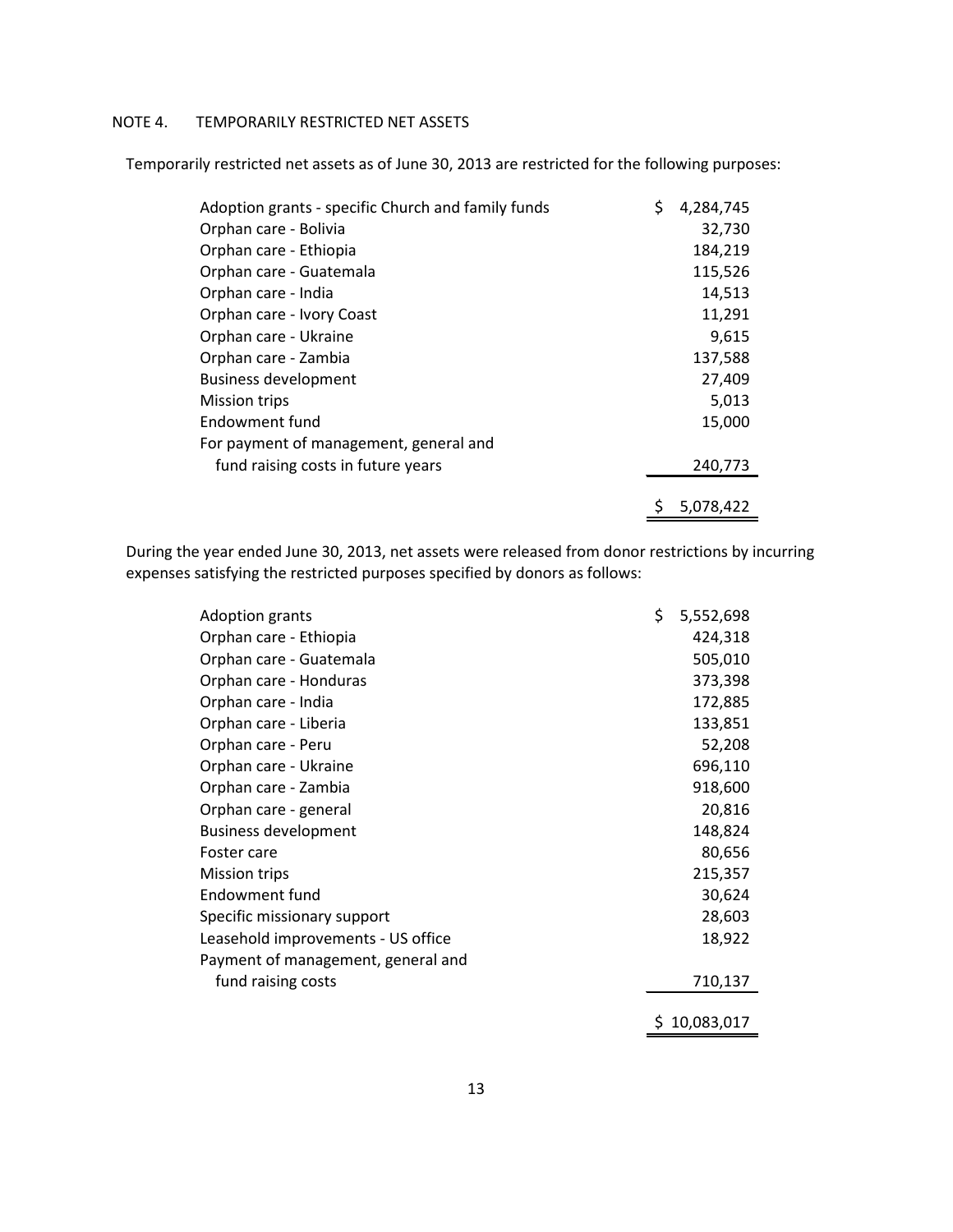# NOTE 4. TEMPORARILY RESTRICTED NET ASSETS

Temporarily restricted net assets as of June 30, 2013 are restricted for the following purposes:

| Adoption grants - specific Church and family funds | \$<br>4,284,745 |
|----------------------------------------------------|-----------------|
| Orphan care - Bolivia                              | 32,730          |
| Orphan care - Ethiopia                             | 184,219         |
| Orphan care - Guatemala                            | 115,526         |
| Orphan care - India                                | 14,513          |
| Orphan care - Ivory Coast                          | 11,291          |
| Orphan care - Ukraine                              | 9,615           |
| Orphan care - Zambia                               | 137,588         |
| <b>Business development</b>                        | 27,409          |
| <b>Mission trips</b>                               | 5,013           |
| Endowment fund                                     | 15,000          |
| For payment of management, general and             |                 |
| fund raising costs in future years                 | 240,773         |
|                                                    |                 |
|                                                    | 5.078.422       |

During the year ended June 30, 2013, net assets were released from donor restrictions by incurring expenses satisfying the restricted purposes specified by donors as follows:

| <b>Adoption grants</b>             | \$<br>5,552,698 |
|------------------------------------|-----------------|
| Orphan care - Ethiopia             | 424,318         |
| Orphan care - Guatemala            | 505,010         |
| Orphan care - Honduras             | 373,398         |
| Orphan care - India                | 172,885         |
| Orphan care - Liberia              | 133,851         |
| Orphan care - Peru                 | 52,208          |
| Orphan care - Ukraine              | 696,110         |
| Orphan care - Zambia               | 918,600         |
| Orphan care - general              | 20,816          |
| <b>Business development</b>        | 148,824         |
| Foster care                        | 80,656          |
| <b>Mission trips</b>               | 215,357         |
| Endowment fund                     | 30,624          |
| Specific missionary support        | 28,603          |
| Leasehold improvements - US office | 18,922          |
| Payment of management, general and |                 |
| fund raising costs                 | 710,137         |
|                                    | \$10,083,017    |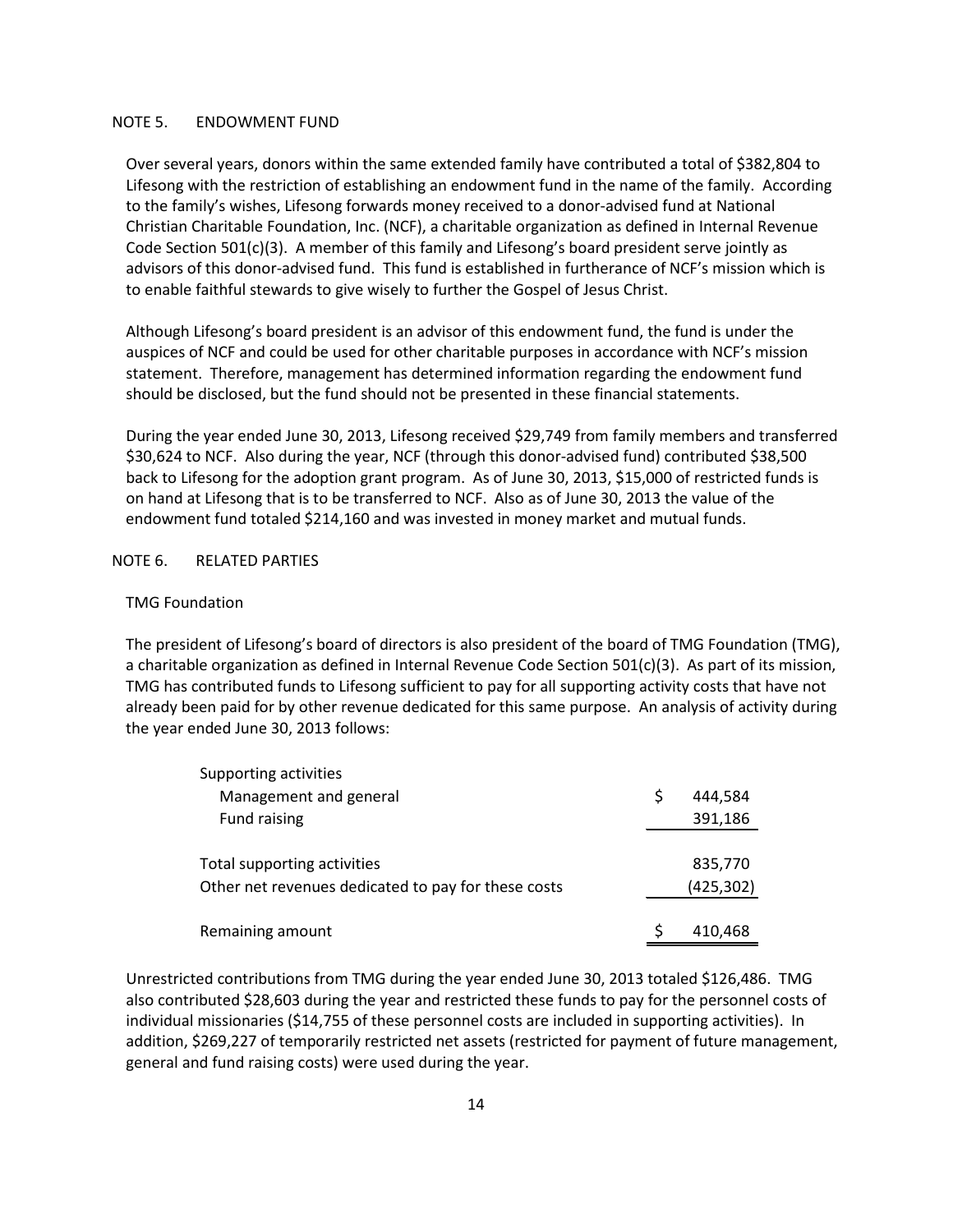#### NOTE 5. ENDOWMENT FUND

Over several years, donors within the same extended family have contributed a total of \$382,804 to Lifesong with the restriction of establishing an endowment fund in the name of the family. According to the family's wishes, Lifesong forwards money received to a donor-advised fund at National Christian Charitable Foundation, Inc. (NCF), a charitable organization as defined in Internal Revenue Code Section 501(c)(3). A member of this family and Lifesong's board president serve jointly as advisors of this donor-advised fund. This fund is established in furtherance of NCF's mission which is to enable faithful stewards to give wisely to further the Gospel of Jesus Christ.

Although Lifesong's board president is an advisor of this endowment fund, the fund is under the auspices of NCF and could be used for other charitable purposes in accordance with NCF's mission statement. Therefore, management has determined information regarding the endowment fund should be disclosed, but the fund should not be presented in these financial statements.

During the year ended June 30, 2013, Lifesong received \$29,749 from family members and transferred \$30,624 to NCF. Also during the year, NCF (through this donor-advised fund) contributed \$38,500 back to Lifesong for the adoption grant program. As of June 30, 2013, \$15,000 of restricted funds is on hand at Lifesong that is to be transferred to NCF. Also as of June 30, 2013 the value of the endowment fund totaled \$214,160 and was invested in money market and mutual funds.

#### NOTE 6. RELATED PARTIES

#### TMG Foundation

The president of Lifesong's board of directors is also president of the board of TMG Foundation (TMG), a charitable organization as defined in Internal Revenue Code Section 501(c)(3). As part of its mission, TMG has contributed funds to Lifesong sufficient to pay for all supporting activity costs that have not already been paid for by other revenue dedicated for this same purpose. An analysis of activity during the year ended June 30, 2013 follows:

| Supporting activities                               |            |
|-----------------------------------------------------|------------|
| Management and general                              | 444.584    |
| Fund raising                                        | 391,186    |
|                                                     |            |
| Total supporting activities                         | 835,770    |
| Other net revenues dedicated to pay for these costs | (425, 302) |
|                                                     |            |
| Remaining amount                                    | 410,468    |

Unrestricted contributions from TMG during the year ended June 30, 2013 totaled \$126,486. TMG also contributed \$28,603 during the year and restricted these funds to pay for the personnel costs of individual missionaries (\$14,755 of these personnel costs are included in supporting activities). In addition, \$269,227 of temporarily restricted net assets (restricted for payment of future management, general and fund raising costs) were used during the year.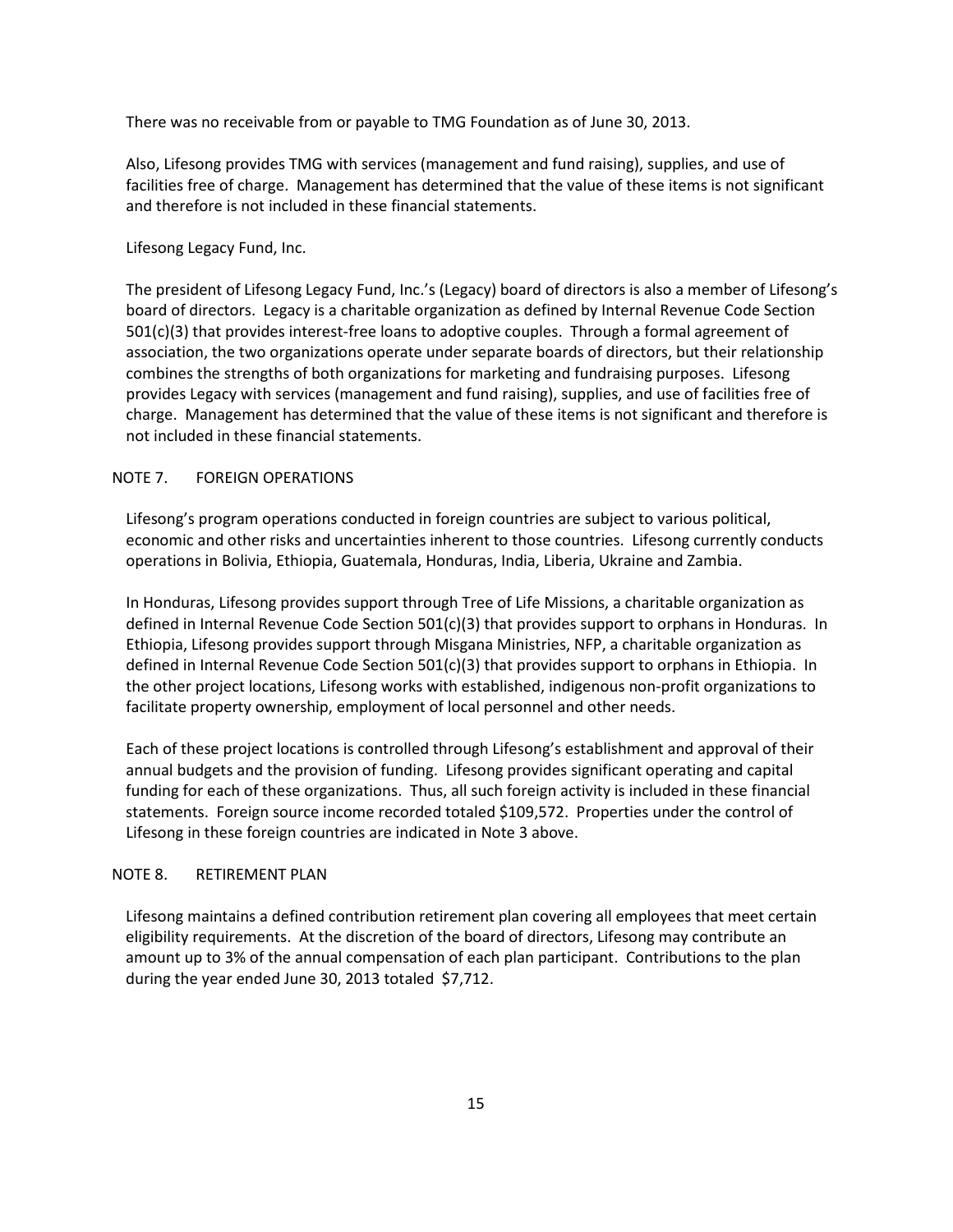There was no receivable from or payable to TMG Foundation as of June 30, 2013.

Also, Lifesong provides TMG with services (management and fund raising), supplies, and use of facilities free of charge. Management has determined that the value of these items is not significant and therefore is not included in these financial statements.

### Lifesong Legacy Fund, Inc.

The president of Lifesong Legacy Fund, Inc.'s (Legacy) board of directors is also a member of Lifesong's board of directors. Legacy is a charitable organization as defined by Internal Revenue Code Section 501(c)(3) that provides interest-free loans to adoptive couples. Through a formal agreement of association, the two organizations operate under separate boards of directors, but their relationship combines the strengths of both organizations for marketing and fundraising purposes. Lifesong provides Legacy with services (management and fund raising), supplies, and use of facilities free of charge. Management has determined that the value of these items is not significant and therefore is not included in these financial statements.

### NOTE 7. FOREIGN OPERATIONS

Lifesong's program operations conducted in foreign countries are subject to various political, economic and other risks and uncertainties inherent to those countries. Lifesong currently conducts operations in Bolivia, Ethiopia, Guatemala, Honduras, India, Liberia, Ukraine and Zambia.

In Honduras, Lifesong provides support through Tree of Life Missions, a charitable organization as defined in Internal Revenue Code Section 501(c)(3) that provides support to orphans in Honduras. In Ethiopia, Lifesong provides support through Misgana Ministries, NFP, a charitable organization as defined in Internal Revenue Code Section 501(c)(3) that provides support to orphans in Ethiopia. In the other project locations, Lifesong works with established, indigenous non-profit organizations to facilitate property ownership, employment of local personnel and other needs.

Each of these project locations is controlled through Lifesong's establishment and approval of their annual budgets and the provision of funding. Lifesong provides significant operating and capital funding for each of these organizations. Thus, all such foreign activity is included in these financial statements. Foreign source income recorded totaled \$109,572. Properties under the control of Lifesong in these foreign countries are indicated in Note 3 above.

### NOTE 8. RETIREMENT PLAN

Lifesong maintains a defined contribution retirement plan covering all employees that meet certain eligibility requirements. At the discretion of the board of directors, Lifesong may contribute an amount up to 3% of the annual compensation of each plan participant. Contributions to the plan during the year ended June 30, 2013 totaled \$7,712.